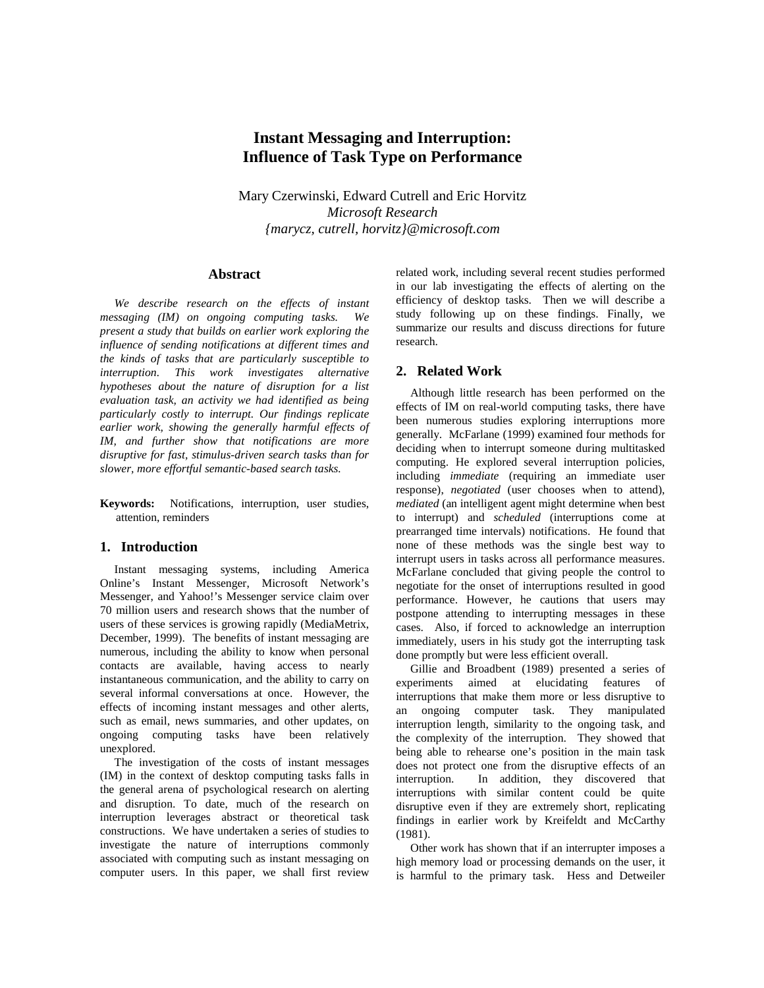# **Instant Messaging and Interruption: Influence of Task Type on Performance**

Mary Czerwinski, Edward Cutrell and Eric Horvitz *Microsoft Research {marycz, cutrell, horvitz}@microsoft.com*

## **Abstract**

*We describe research on the effects of instant messaging (IM) on ongoing computing tasks. We present a study that builds on earlier work exploring the influence of sending notifications at different times and the kinds of tasks that are particularly susceptible to interruption. This work investigates alternative hypotheses about the nature of disruption for a list evaluation task, an activity we had identified as being particularly costly to interrupt. Our findings replicate earlier work, showing the generally harmful effects of IM, and further show that notifications are more disruptive for fast, stimulus-driven search tasks than for slower, more effortful semantic-based search tasks.*

**Keywords:** Notifications, interruption, user studies, attention, reminders

#### **1. Introduction**

Instant messaging systems, including America Online's Instant Messenger, Microsoft Network's Messenger, and Yahoo!'s Messenger service claim over 70 million users and research shows that the number of users of these services is growing rapidly (MediaMetrix, December, 1999). The benefits of instant messaging are numerous, including the ability to know when personal contacts are available, having access to nearly instantaneous communication, and the ability to carry on several informal conversations at once. However, the effects of incoming instant messages and other alerts, such as email, news summaries, and other updates, on ongoing computing tasks have been relatively unexplored.

The investigation of the costs of instant messages (IM) in the context of desktop computing tasks falls in the general arena of psychological research on alerting and disruption. To date, much of the research on interruption leverages abstract or theoretical task constructions. We have undertaken a series of studies to investigate the nature of interruptions commonly associated with computing such as instant messaging on computer users. In this paper, we shall first review related work, including several recent studies performed in our lab investigating the effects of alerting on the efficiency of desktop tasks. Then we will describe a study following up on these findings. Finally, we summarize our results and discuss directions for future research.

## **2. Related Work**

Although little research has been performed on the effects of IM on real-world computing tasks, there have been numerous studies exploring interruptions more generally. McFarlane (1999) examined four methods for deciding when to interrupt someone during multitasked computing. He explored several interruption policies, including *immediate* (requiring an immediate user response), *negotiated* (user chooses when to attend), *mediated* (an intelligent agent might determine when best to interrupt) and *scheduled* (interruptions come at prearranged time intervals) notifications. He found that none of these methods was the single best way to interrupt users in tasks across all performance measures. McFarlane concluded that giving people the control to negotiate for the onset of interruptions resulted in good performance. However, he cautions that users may postpone attending to interrupting messages in these cases. Also, if forced to acknowledge an interruption immediately, users in his study got the interrupting task done promptly but were less efficient overall.

Gillie and Broadbent (1989) presented a series of experiments aimed at elucidating features of interruptions that make them more or less disruptive to an ongoing computer task. They manipulated interruption length, similarity to the ongoing task, and the complexity of the interruption. They showed that being able to rehearse one's position in the main task does not protect one from the disruptive effects of an interruption. In addition, they discovered that interruptions with similar content could be quite disruptive even if they are extremely short, replicating findings in earlier work by Kreifeldt and McCarthy (1981).

Other work has shown that if an interrupter imposes a high memory load or processing demands on the user, it is harmful to the primary task. Hess and Detweiler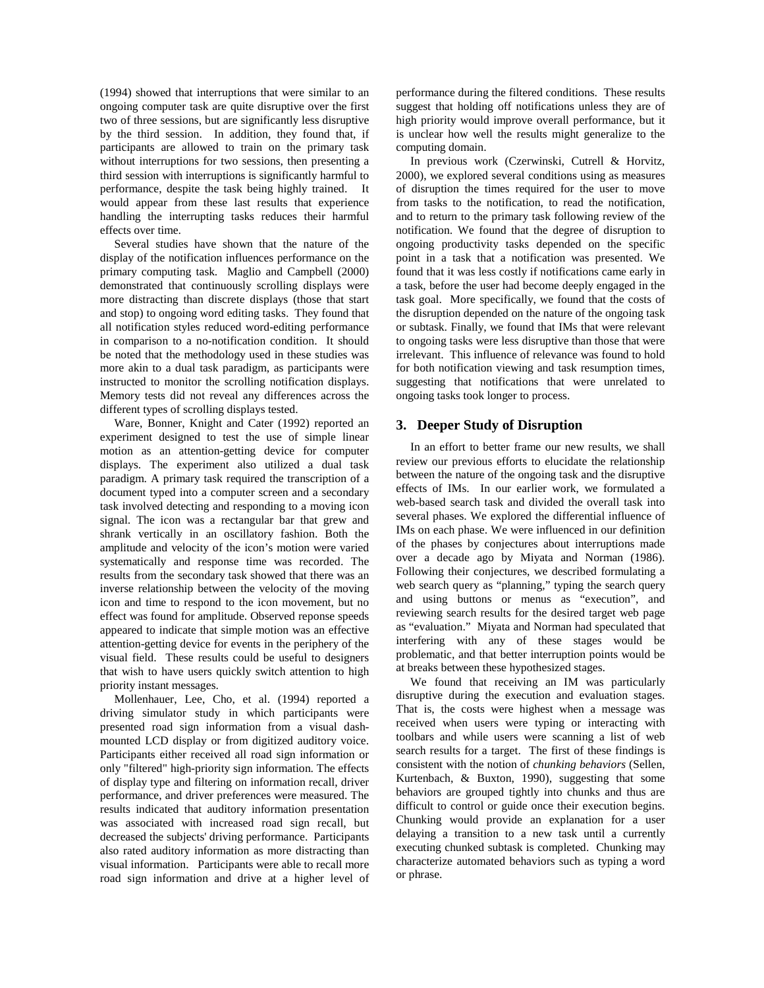(1994) showed that interruptions that were similar to an ongoing computer task are quite disruptive over the first two of three sessions, but are significantly less disruptive by the third session. In addition, they found that, if participants are allowed to train on the primary task without interruptions for two sessions, then presenting a third session with interruptions is significantly harmful to performance, despite the task being highly trained. It would appear from these last results that experience handling the interrupting tasks reduces their harmful effects over time.

Several studies have shown that the nature of the display of the notification influences performance on the primary computing task. Maglio and Campbell (2000) demonstrated that continuously scrolling displays were more distracting than discrete displays (those that start and stop) to ongoing word editing tasks. They found that all notification styles reduced word-editing performance in comparison to a no-notification condition. It should be noted that the methodology used in these studies was more akin to a dual task paradigm, as participants were instructed to monitor the scrolling notification displays. Memory tests did not reveal any differences across the different types of scrolling displays tested.

Ware, Bonner, Knight and Cater (1992) reported an experiment designed to test the use of simple linear motion as an attention-getting device for computer displays. The experiment also utilized a dual task paradigm. A primary task required the transcription of a document typed into a computer screen and a secondary task involved detecting and responding to a moving icon signal. The icon was a rectangular bar that grew and shrank vertically in an oscillatory fashion. Both the amplitude and velocity of the icon's motion were varied systematically and response time was recorded. The results from the secondary task showed that there was an inverse relationship between the velocity of the moving icon and time to respond to the icon movement, but no effect was found for amplitude. Observed reponse speeds appeared to indicate that simple motion was an effective attention-getting device for events in the periphery of the visual field. These results could be useful to designers that wish to have users quickly switch attention to high priority instant messages.

Mollenhauer, Lee, Cho, et al. (1994) reported a driving simulator study in which participants were presented road sign information from a visual dashmounted LCD display or from digitized auditory voice. Participants either received all road sign information or only "filtered" high-priority sign information. The effects of display type and filtering on information recall, driver performance, and driver preferences were measured. The results indicated that auditory information presentation was associated with increased road sign recall, but decreased the subjects' driving performance. Participants also rated auditory information as more distracting than visual information. Participants were able to recall more road sign information and drive at a higher level of

performance during the filtered conditions. These results suggest that holding off notifications unless they are of high priority would improve overall performance, but it is unclear how well the results might generalize to the computing domain.

In previous work (Czerwinski, Cutrell & Horvitz, 2000), we explored several conditions using as measures of disruption the times required for the user to move from tasks to the notification, to read the notification, and to return to the primary task following review of the notification. We found that the degree of disruption to ongoing productivity tasks depended on the specific point in a task that a notification was presented. We found that it was less costly if notifications came early in a task, before the user had become deeply engaged in the task goal. More specifically, we found that the costs of the disruption depended on the nature of the ongoing task or subtask. Finally, we found that IMs that were relevant to ongoing tasks were less disruptive than those that were irrelevant. This influence of relevance was found to hold for both notification viewing and task resumption times, suggesting that notifications that were unrelated to ongoing tasks took longer to process.

## **3. Deeper Study of Disruption**

In an effort to better frame our new results, we shall review our previous efforts to elucidate the relationship between the nature of the ongoing task and the disruptive effects of IMs. In our earlier work, we formulated a web-based search task and divided the overall task into several phases. We explored the differential influence of IMs on each phase. We were influenced in our definition of the phases by conjectures about interruptions made over a decade ago by Miyata and Norman (1986). Following their conjectures, we described formulating a web search query as "planning," typing the search query and using buttons or menus as "execution", and reviewing search results for the desired target web page as "evaluation." Miyata and Norman had speculated that interfering with any of these stages would be problematic, and that better interruption points would be at breaks between these hypothesized stages.

We found that receiving an IM was particularly disruptive during the execution and evaluation stages. That is, the costs were highest when a message was received when users were typing or interacting with toolbars and while users were scanning a list of web search results for a target. The first of these findings is consistent with the notion of *chunking behaviors* (Sellen, Kurtenbach, & Buxton, 1990), suggesting that some behaviors are grouped tightly into chunks and thus are difficult to control or guide once their execution begins. Chunking would provide an explanation for a user delaying a transition to a new task until a currently executing chunked subtask is completed. Chunking may characterize automated behaviors such as typing a word or phrase.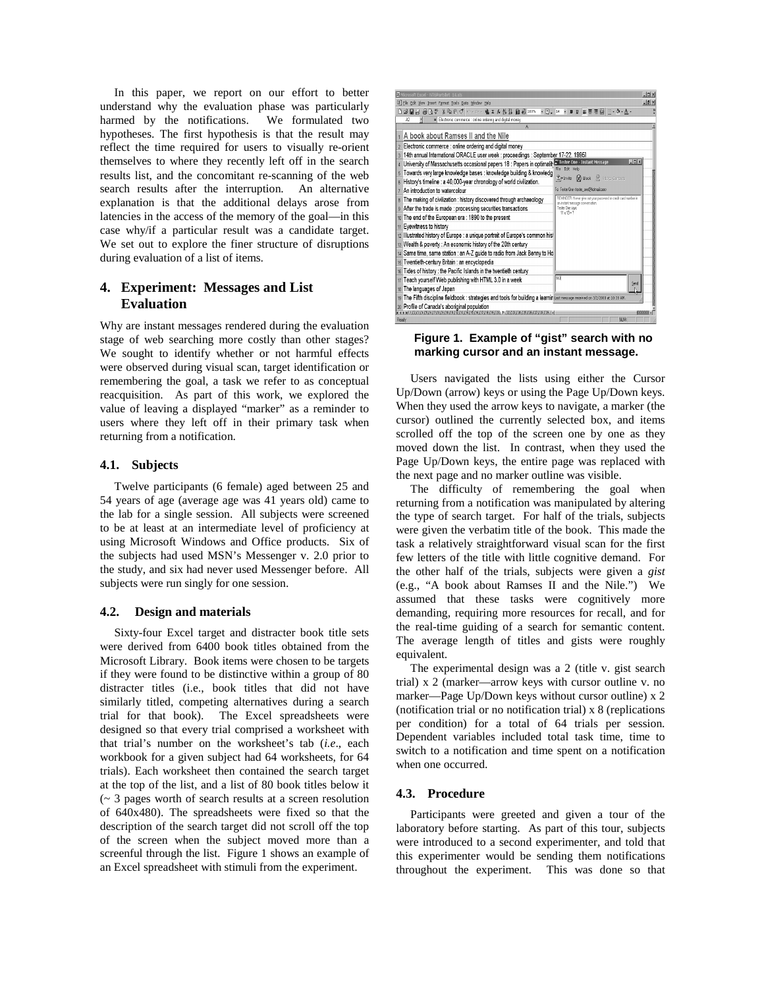In this paper, we report on our effort to better understand why the evaluation phase was particularly harmed by the notifications. We formulated two hypotheses. The first hypothesis is that the result may reflect the time required for users to visually re-orient themselves to where they recently left off in the search results list, and the concomitant re-scanning of the web search results after the interruption. An alternative explanation is that the additional delays arose from latencies in the access of the memory of the goal—in this case why/if a particular result was a candidate target. We set out to explore the finer structure of disruptions during evaluation of a list of items.

## **4. Experiment: Messages and List Evaluation**

Why are instant messages rendered during the evaluation stage of web searching more costly than other stages? We sought to identify whether or not harmful effects were observed during visual scan, target identification or remembering the goal, a task we refer to as conceptual reacquisition. As part of this work, we explored the value of leaving a displayed "marker" as a reminder to users where they left off in their primary task when returning from a notification.

## **4.1. Subjects**

Twelve participants (6 female) aged between 25 and 54 years of age (average age was 41 years old) came to the lab for a single session. All subjects were screened to be at least at an intermediate level of proficiency at using Microsoft Windows and Office products. Six of the subjects had used MSN's Messenger v. 2.0 prior to the study, and six had never used Messenger before. All subjects were run singly for one session.

#### **4.2. Design and materials**

Sixty-four Excel target and distracter book title sets were derived from 6400 book titles obtained from the Microsoft Library. Book items were chosen to be targets if they were found to be distinctive within a group of 80 distracter titles (i.e., book titles that did not have similarly titled, competing alternatives during a search trial for that book). The Excel spreadsheets were designed so that every trial comprised a worksheet with that trial's number on the worksheet's tab (*i.e*., each workbook for a given subject had 64 worksheets, for 64 trials). Each worksheet then contained the search target at the top of the list, and a list of 80 book titles below it (~ 3 pages worth of search results at a screen resolution of 640x480). The spreadsheets were fixed so that the description of the search target did not scroll off the top of the screen when the subject moved more than a screenful through the list. Figure 1 shows an example of an Excel spreadsheet with stimuli from the experiment.



#### **Figure 1. Example of "gist" search with no marking cursor and an instant message.**

Users navigated the lists using either the Cursor Up/Down (arrow) keys or using the Page Up/Down keys. When they used the arrow keys to navigate, a marker (the cursor) outlined the currently selected box, and items scrolled off the top of the screen one by one as they moved down the list. In contrast, when they used the Page Up/Down keys, the entire page was replaced with the next page and no marker outline was visible.

The difficulty of remembering the goal when returning from a notification was manipulated by altering the type of search target. For half of the trials, subjects were given the verbatim title of the book. This made the task a relatively straightforward visual scan for the first few letters of the title with little cognitive demand. For the other half of the trials, subjects were given a *gist* (e.g., "A book about Ramses II and the Nile.") We assumed that these tasks were cognitively more demanding, requiring more resources for recall, and for the real-time guiding of a search for semantic content. The average length of titles and gists were roughly equivalent.

The experimental design was a 2 (title v. gist search trial) x 2 (marker—arrow keys with cursor outline v. no marker—Page Up/Down keys without cursor outline) x 2 (notification trial or no notification trial) x 8 (replications per condition) for a total of 64 trials per session. Dependent variables included total task time, time to switch to a notification and time spent on a notification when one occurred.

#### **4.3. Procedure**

Participants were greeted and given a tour of the laboratory before starting. As part of this tour, subjects were introduced to a second experimenter, and told that this experimenter would be sending them notifications throughout the experiment. This was done so that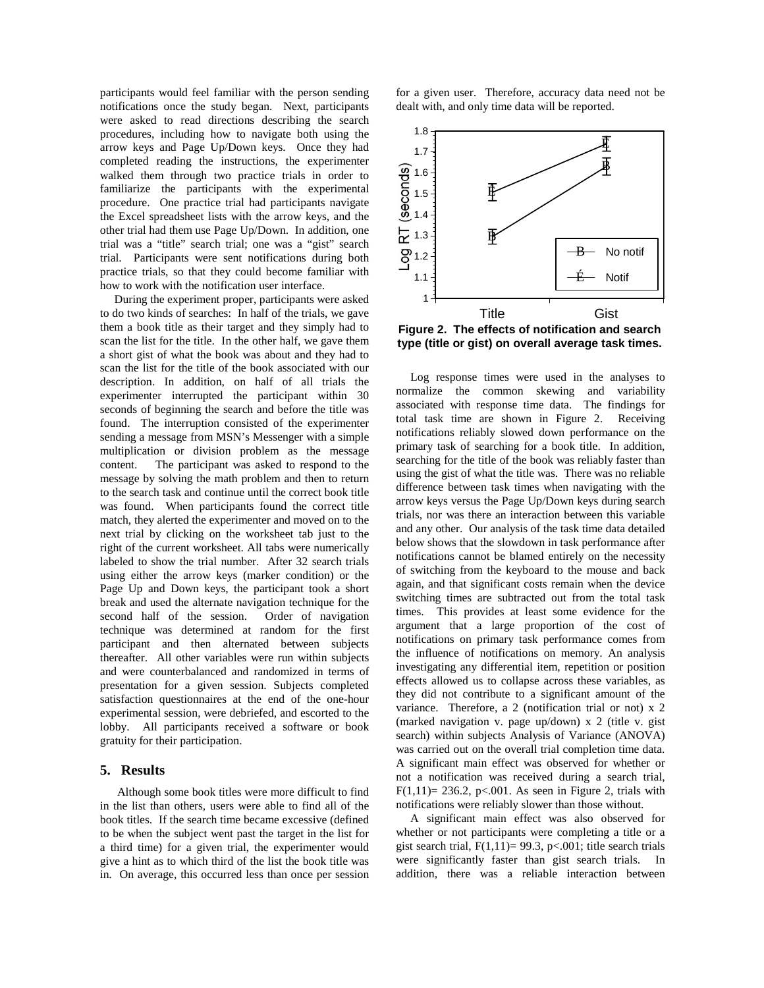participants would feel familiar with the person sending notifications once the study began. Next, participants were asked to read directions describing the search procedures, including how to navigate both using the arrow keys and Page Up/Down keys. Once they had completed reading the instructions, the experimenter walked them through two practice trials in order to familiarize the participants with the experimental procedure. One practice trial had participants navigate the Excel spreadsheet lists with the arrow keys, and the other trial had them use Page Up/Down. In addition, one trial was a "title" search trial; one was a "gist" search trial. Participants were sent notifications during both practice trials, so that they could become familiar with how to work with the notification user interface.

During the experiment proper, participants were asked to do two kinds of searches: In half of the trials, we gave them a book title as their target and they simply had to scan the list for the title. In the other half, we gave them a short gist of what the book was about and they had to scan the list for the title of the book associated with our description. In addition, on half of all trials the experimenter interrupted the participant within 30 seconds of beginning the search and before the title was found. The interruption consisted of the experimenter sending a message from MSN's Messenger with a simple multiplication or division problem as the message content. The participant was asked to respond to the message by solving the math problem and then to return to the search task and continue until the correct book title was found. When participants found the correct title match, they alerted the experimenter and moved on to the next trial by clicking on the worksheet tab just to the right of the current worksheet. All tabs were numerically labeled to show the trial number. After 32 search trials using either the arrow keys (marker condition) or the Page Up and Down keys, the participant took a short break and used the alternate navigation technique for the second half of the session. Order of navigation technique was determined at random for the first participant and then alternated between subjects thereafter. All other variables were run within subjects and were counterbalanced and randomized in terms of presentation for a given session. Subjects completed satisfaction questionnaires at the end of the one-hour experimental session, were debriefed, and escorted to the lobby. All participants received a software or book gratuity for their participation.

## **5. Results**

Although some book titles were more difficult to find in the list than others, users were able to find all of the book titles. If the search time became excessive (defined to be when the subject went past the target in the list for a third time) for a given trial, the experimenter would give a hint as to which third of the list the book title was in. On average, this occurred less than once per session

for a given user. Therefore, accuracy data need not be dealt with, and only time data will be reported.



**type (title or gist) on overall average task times.**

Log response times were used in the analyses to normalize the common skewing and variability associated with response time data. The findings for total task time are shown in Figure 2. Receiving notifications reliably slowed down performance on the primary task of searching for a book title. In addition, searching for the title of the book was reliably faster than using the gist of what the title was. There was no reliable difference between task times when navigating with the arrow keys versus the Page Up/Down keys during search trials, nor was there an interaction between this variable and any other. Our analysis of the task time data detailed below shows that the slowdown in task performance after notifications cannot be blamed entirely on the necessity of switching from the keyboard to the mouse and back again, and that significant costs remain when the device switching times are subtracted out from the total task times. This provides at least some evidence for the argument that a large proportion of the cost of notifications on primary task performance comes from the influence of notifications on memory. An analysis investigating any differential item, repetition or position effects allowed us to collapse across these variables, as they did not contribute to a significant amount of the variance. Therefore, a 2 (notification trial or not) x 2 (marked navigation v. page up/down) x 2 (title v. gist search) within subjects Analysis of Variance (ANOVA) was carried out on the overall trial completion time data. A significant main effect was observed for whether or not a notification was received during a search trial,  $F(1,11)= 236.2$ , p<.001. As seen in Figure 2, trials with notifications were reliably slower than those without.

A significant main effect was also observed for whether or not participants were completing a title or a gist search trial,  $F(1,11)=$  99.3, p<.001; title search trials were significantly faster than gist search trials. In addition, there was a reliable interaction between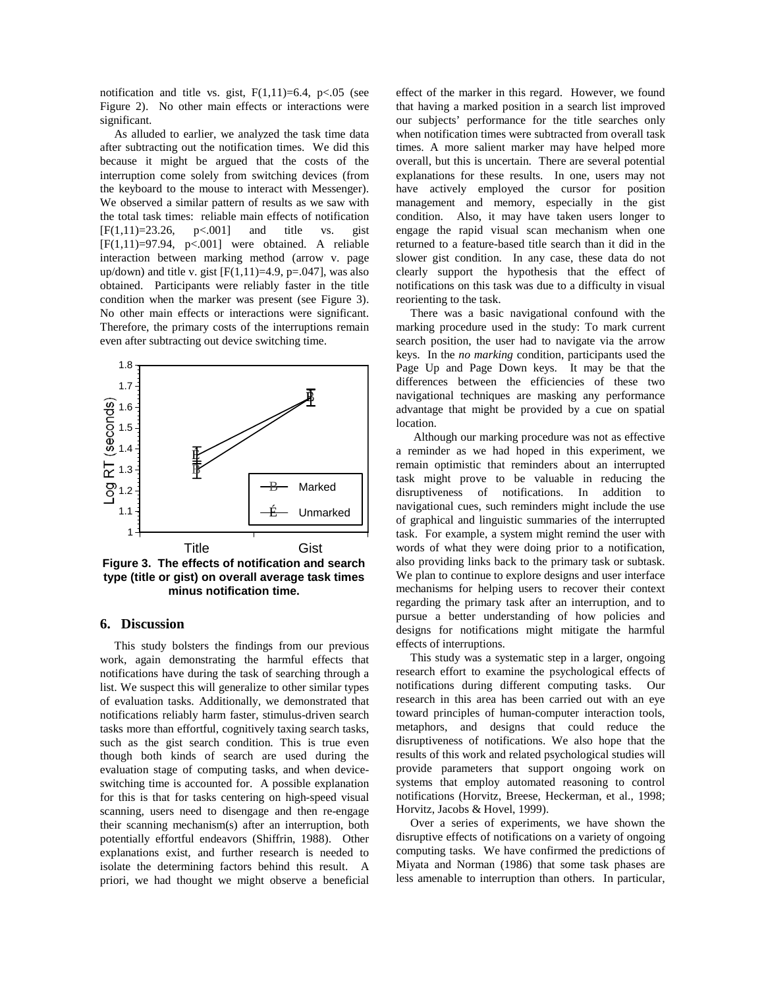notification and title vs. gist,  $F(1,11)=6.4$ ,  $p<.05$  (see Figure 2). No other main effects or interactions were significant.

As alluded to earlier, we analyzed the task time data after subtracting out the notification times. We did this because it might be argued that the costs of the interruption come solely from switching devices (from the keyboard to the mouse to interact with Messenger). We observed a similar pattern of results as we saw with the total task times: reliable main effects of notification  $[F(1,11)=23.26, p<0.001]$  and title vs. gist  $[F(1,11)=97.94, p<0.01]$  were obtained. A reliable interaction between marking method (arrow v. page up/down) and title v. gist  $[F(1,11)=4.9, p=.047]$ , was also obtained. Participants were reliably faster in the title condition when the marker was present (see Figure 3). No other main effects or interactions were significant. Therefore, the primary costs of the interruptions remain even after subtracting out device switching time.



**Figure 3. The effects of notification and search type (title or gist) on overall average task times minus notification time.**

## **6. Discussion**

This study bolsters the findings from our previous work, again demonstrating the harmful effects that notifications have during the task of searching through a list. We suspect this will generalize to other similar types of evaluation tasks. Additionally, we demonstrated that notifications reliably harm faster, stimulus-driven search tasks more than effortful, cognitively taxing search tasks, such as the gist search condition. This is true even though both kinds of search are used during the evaluation stage of computing tasks, and when deviceswitching time is accounted for. A possible explanation for this is that for tasks centering on high-speed visual scanning, users need to disengage and then re-engage their scanning mechanism(s) after an interruption, both potentially effortful endeavors (Shiffrin, 1988). Other explanations exist, and further research is needed to isolate the determining factors behind this result. A priori, we had thought we might observe a beneficial

effect of the marker in this regard. However, we found that having a marked position in a search list improved our subjects' performance for the title searches only when notification times were subtracted from overall task times. A more salient marker may have helped more overall, but this is uncertain. There are several potential explanations for these results. In one, users may not have actively employed the cursor for position management and memory, especially in the gist condition. Also, it may have taken users longer to engage the rapid visual scan mechanism when one returned to a feature-based title search than it did in the slower gist condition. In any case, these data do not clearly support the hypothesis that the effect of notifications on this task was due to a difficulty in visual reorienting to the task.

There was a basic navigational confound with the marking procedure used in the study: To mark current search position, the user had to navigate via the arrow keys. In the *no marking* condition, participants used the Page Up and Page Down keys. It may be that the differences between the efficiencies of these two navigational techniques are masking any performance advantage that might be provided by a cue on spatial location.

Although our marking procedure was not as effective a reminder as we had hoped in this experiment, we remain optimistic that reminders about an interrupted task might prove to be valuable in reducing the disruptiveness of notifications. In addition to navigational cues, such reminders might include the use of graphical and linguistic summaries of the interrupted task. For example, a system might remind the user with words of what they were doing prior to a notification, also providing links back to the primary task or subtask. We plan to continue to explore designs and user interface mechanisms for helping users to recover their context regarding the primary task after an interruption, and to pursue a better understanding of how policies and designs for notifications might mitigate the harmful effects of interruptions.

This study was a systematic step in a larger, ongoing research effort to examine the psychological effects of notifications during different computing tasks. Our research in this area has been carried out with an eye toward principles of human-computer interaction tools, metaphors, and designs that could reduce the disruptiveness of notifications. We also hope that the results of this work and related psychological studies will provide parameters that support ongoing work on systems that employ automated reasoning to control notifications (Horvitz, Breese, Heckerman, et al., 1998; Horvitz, Jacobs & Hovel, 1999).

Over a series of experiments, we have shown the disruptive effects of notifications on a variety of ongoing computing tasks. We have confirmed the predictions of Miyata and Norman (1986) that some task phases are less amenable to interruption than others. In particular,